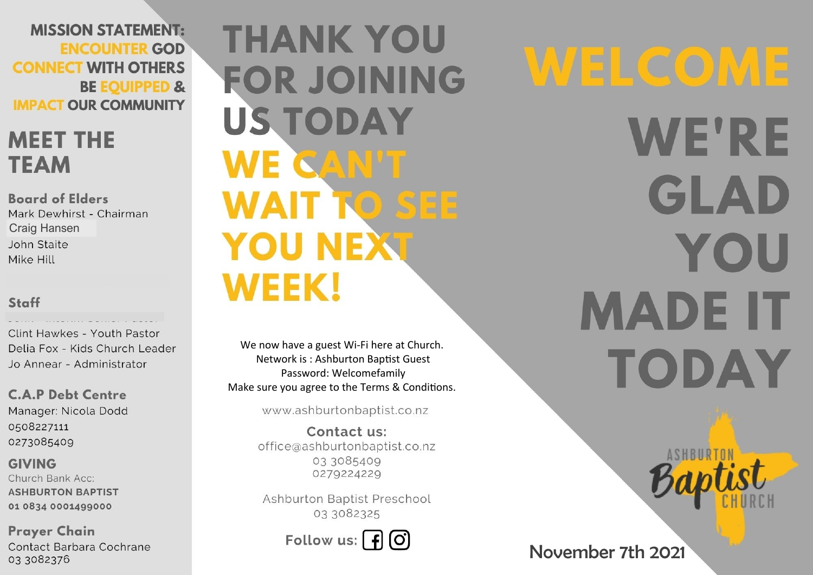**MISSION STATEMENT: ENCOUNTER GOD CONNECT WITH OTHERS BE EQUIPPED & IMPACT OUR COMMUNITY** 

## **MEET THE TEAM**

**Board of Elders** Mark Dewhirst - Chairman **Craig Hansen** John Staite Mike Hill

### Staff

Clint Hawkes - Youth Pastor Delia Fox - Kids Church Leader Jo Annear - Administrator

**C.A.P Debt Centre** Manager: Nicola Dodd 0508227111 0273085409

**GIVING** Church Bank Acc: **ASHBURTON BAPTIST** 01 0834 0001499000

**Prayer Chain** Contact Barbara Cochrane 03 3082376

**THANK YOU FOR JOINING US TODAY** WE CAN'T **WAIT TO SEE YOU NEXT WEEK!** 

We now have a guest Wi-Fi here at Church. Network is: Ashburton Baptist Guest Password: Welcomefamily Make sure you agree to the Terms & Conditions.

www.ashburtonbaptist.co.nz

Contact us: office@ashburtonbaptist.co.nz 03 3085409 0279224229

Ashburton Baptist Preschool 03 3082325

Follow us:  $\int f(x)$ 

WELCOME **WE'RE** GLAD YOU **MADE IT** TODAY

November 7th 2021